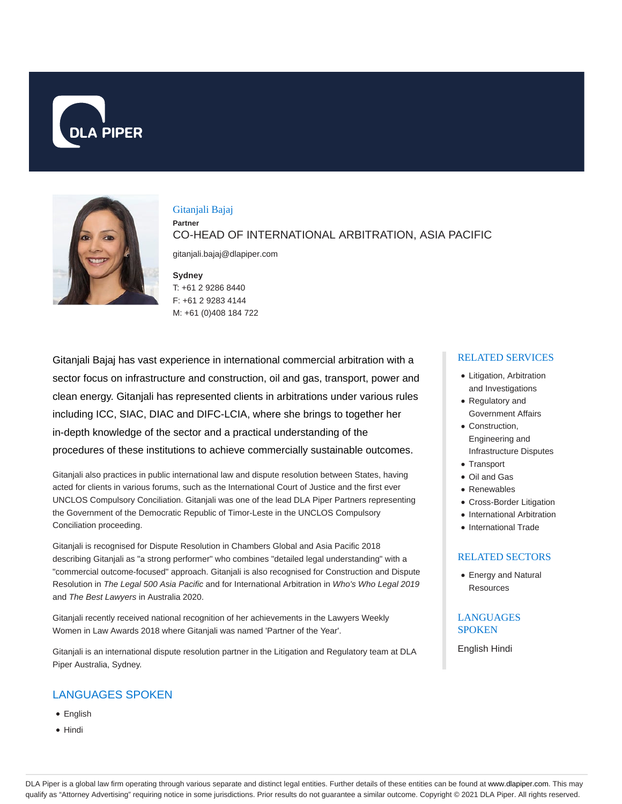



# Gitanjali Bajaj **Partner**

CO-HEAD OF INTERNATIONAL ARBITRATION, ASIA PACIFIC

gitanjali.bajaj@dlapiper.com

### **Sydney** T: +61 2 9286 8440 F: +61 2 9283 4144 M: +61 (0)408 184 722

Gitanjali Bajaj has vast experience in international commercial arbitration with a sector focus on infrastructure and construction, oil and gas, transport, power and clean energy. Gitanjali has represented clients in arbitrations under various rules including ICC, SIAC, DIAC and DIFC-LCIA, where she brings to together her in-depth knowledge of the sector and a practical understanding of the procedures of these institutions to achieve commercially sustainable outcomes.

Gitanjali also practices in public international law and dispute resolution between States, having acted for clients in various forums, such as the International Court of Justice and the first ever UNCLOS Compulsory Conciliation. Gitanjali was one of the lead DLA Piper Partners representing the Government of the Democratic Republic of Timor-Leste in the UNCLOS Compulsory Conciliation proceeding.

Gitanjali is recognised for Dispute Resolution in Chambers Global and Asia Pacific 2018 describing Gitanjali as "a strong performer" who combines "detailed legal understanding" with a "commercial outcome-focused" approach. Gitanjali is also recognised for Construction and Dispute Resolution in The Legal 500 Asia Pacific and for International Arbitration in Who's Who Legal 2019 and The Best Lawyers in Australia 2020.

Gitanjali recently received national recognition of her achievements in the Lawyers Weekly Women in Law Awards 2018 where Gitanjali was named 'Partner of the Year'.

Gitanjali is an international dispute resolution partner in the Litigation and Regulatory team at DLA Piper Australia, Sydney.

# LANGUAGES SPOKEN

- English
- Hindi

### RELATED SERVICES

- Litigation, Arbitration and Investigations
- Regulatory and Government Affairs
- Construction. Engineering and Infrastructure Disputes
- Transport
- Oil and Gas
- Renewables
- Cross-Border Litigation
- International Arbitration
- International Trade

#### RELATED SECTORS

Energy and Natural Resources

### **LANGUAGES** SPOKEN

English Hindi

DLA Piper is a global law firm operating through various separate and distinct legal entities. Further details of these entities can be found at www.dlapiper.com. This may qualify as "Attorney Advertising" requiring notice in some jurisdictions. Prior results do not guarantee a similar outcome. Copyright © 2021 DLA Piper. All rights reserved.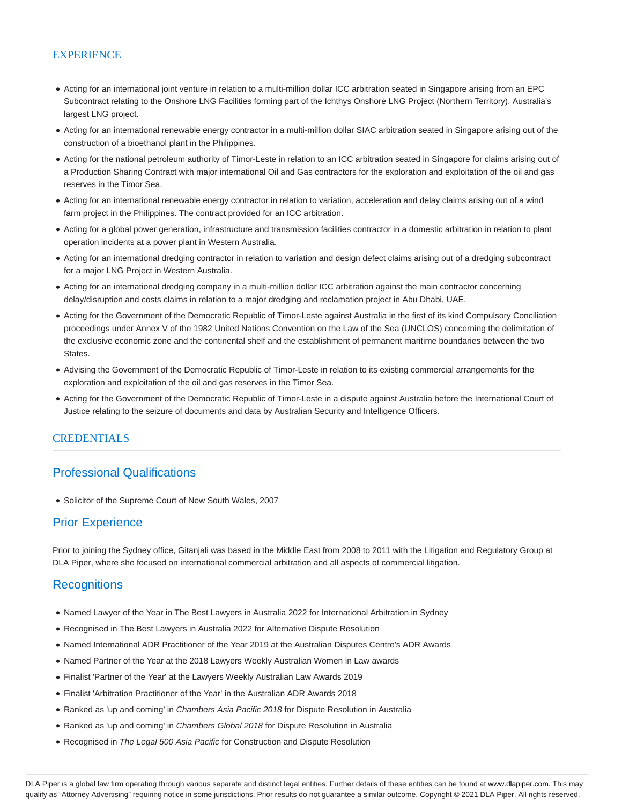#### **EXPERIENCE**

- Acting for an international joint venture in relation to a multi-million dollar ICC arbitration seated in Singapore arising from an EPC Subcontract relating to the Onshore LNG Facilities forming part of the Ichthys Onshore LNG Project (Northern Territory), Australia's largest LNG project.
- Acting for an international renewable energy contractor in a multi-million dollar SIAC arbitration seated in Singapore arising out of the construction of a bioethanol plant in the Philippines.
- Acting for the national petroleum authority of Timor-Leste in relation to an ICC arbitration seated in Singapore for claims arising out of a Production Sharing Contract with major international Oil and Gas contractors for the exploration and exploitation of the oil and gas reserves in the Timor Sea.
- Acting for an international renewable energy contractor in relation to variation, acceleration and delay claims arising out of a wind farm project in the Philippines. The contract provided for an ICC arbitration.
- Acting for a global power generation, infrastructure and transmission facilities contractor in a domestic arbitration in relation to plant operation incidents at a power plant in Western Australia.
- Acting for an international dredging contractor in relation to variation and design defect claims arising out of a dredging subcontract for a major LNG Project in Western Australia.
- Acting for an international dredging company in a multi-million dollar ICC arbitration against the main contractor concerning delay/disruption and costs claims in relation to a major dredging and reclamation project in Abu Dhabi, UAE.
- Acting for the Government of the Democratic Republic of Timor-Leste against Australia in the first of its kind Compulsory Conciliation proceedings under Annex V of the 1982 United Nations Convention on the Law of the Sea (UNCLOS) concerning the delimitation of the exclusive economic zone and the continental shelf and the establishment of permanent maritime boundaries between the two States.
- Advising the Government of the Democratic Republic of Timor-Leste in relation to its existing commercial arrangements for the exploration and exploitation of the oil and gas reserves in the Timor Sea.
- Acting for the Government of the Democratic Republic of Timor-Leste in a dispute against Australia before the International Court of Justice relating to the seizure of documents and data by Australian Security and Intelligence Officers.

### CREDENTIALS

## Professional Qualifications

Solicitor of the Supreme Court of New South Wales, 2007

## Prior Experience

Prior to joining the Sydney office, Gitanjali was based in the Middle East from 2008 to 2011 with the Litigation and Regulatory Group at DLA Piper, where she focused on international commercial arbitration and all aspects of commercial litigation.

## **Recognitions**

- Named Lawyer of the Year in The Best Lawyers in Australia 2022 for International Arbitration in Sydney
- Recognised in The Best Lawyers in Australia 2022 for Alternative Dispute Resolution
- Named International ADR Practitioner of the Year 2019 at the Australian Disputes Centre's ADR Awards
- Named Partner of the Year at the 2018 Lawyers Weekly Australian Women in Law awards
- Finalist 'Partner of the Year' at the Lawyers Weekly Australian Law Awards 2019
- Finalist 'Arbitration Practitioner of the Year' in the Australian ADR Awards 2018
- Ranked as 'up and coming' in Chambers Asia Pacific 2018 for Dispute Resolution in Australia
- Ranked as 'up and coming' in Chambers Global 2018 for Dispute Resolution in Australia
- Recognised in The Legal 500 Asia Pacific for Construction and Dispute Resolution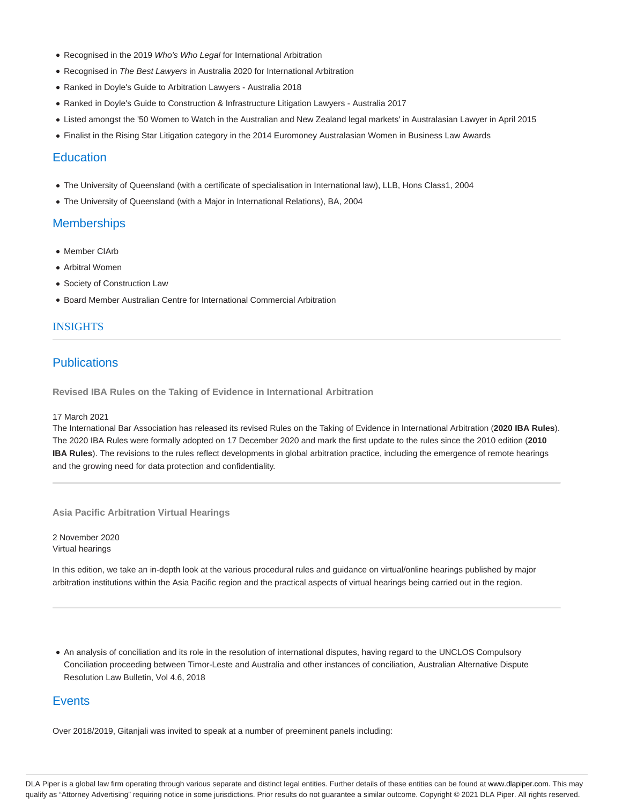- Recognised in the 2019 Who's Who Legal for International Arbitration
- Recognised in The Best Lawyers in Australia 2020 for International Arbitration
- Ranked in Doyle's Guide to Arbitration Lawyers Australia 2018
- Ranked in Doyle's Guide to Construction & Infrastructure Litigation Lawyers Australia 2017
- Listed amongst the '50 Women to Watch in the Australian and New Zealand legal markets' in Australasian Lawyer in April 2015
- Finalist in the Rising Star Litigation category in the 2014 Euromoney Australasian Women in Business Law Awards

### **Education**

- The University of Queensland (with a certificate of specialisation in International law), LLB, Hons Class1, 2004
- The University of Queensland (with a Major in International Relations), BA, 2004

### **Memberships**

- Member CIArb
- Arbitral Women
- Society of Construction Law
- Board Member Australian Centre for International Commercial Arbitration

### INSIGHTS

# **Publications**

**Revised IBA Rules on the Taking of Evidence in International Arbitration**

#### 17 March 2021

The International Bar Association has released its revised Rules on the Taking of Evidence in International Arbitration (**2020 IBA Rules**). The 2020 IBA Rules were formally adopted on 17 December 2020 and mark the first update to the rules since the 2010 edition (**2010 IBA Rules**). The revisions to the rules reflect developments in global arbitration practice, including the emergence of remote hearings and the growing need for data protection and confidentiality.

**Asia Pacific Arbitration Virtual Hearings**

2 November 2020 Virtual hearings

In this edition, we take an in-depth look at the various procedural rules and guidance on virtual/online hearings published by major arbitration institutions within the Asia Pacific region and the practical aspects of virtual hearings being carried out in the region.

An analysis of conciliation and its role in the resolution of international disputes, having regard to the UNCLOS Compulsory Conciliation proceeding between Timor-Leste and Australia and other instances of conciliation, Australian Alternative Dispute Resolution Law Bulletin, Vol 4.6, 2018

## **Events**

Over 2018/2019, Gitanjali was invited to speak at a number of preeminent panels including: